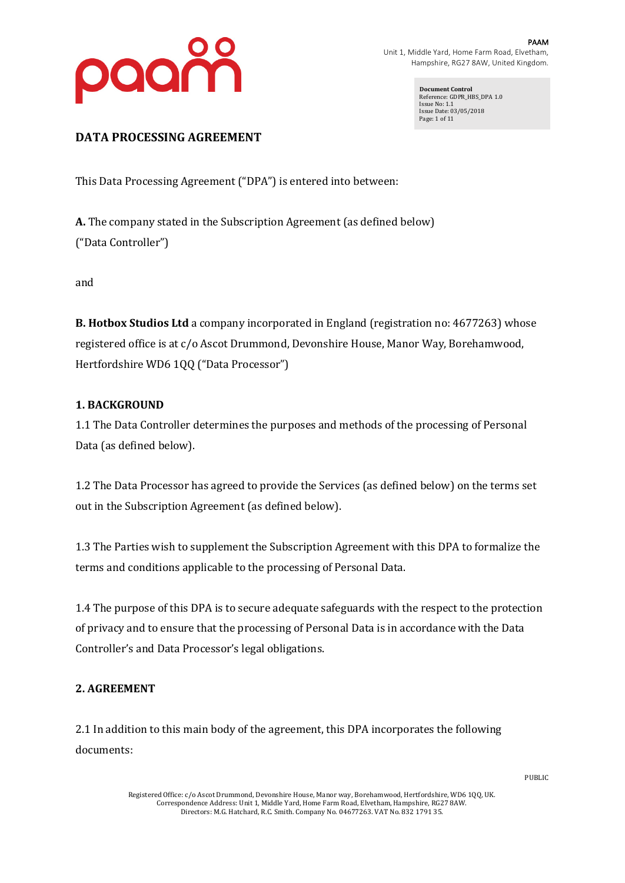

PAAM Unit 1, Middle Yard, Home Farm Road, Elvetham, Hampshire, RG27 8AW, United Kingdom.

> **Document Control** Reference: GDPR\_HBS\_DPA 1.0 Issue No: 1.1 Issue Date: 03/05/2018 Page: 1 of 11

# DATA PROCESSING AGREEMENT

This Data Processing Agreement ("DPA") is entered into between:

**A.** The company stated in the Subscription Agreement (as defined below) ("Data Controller")

and

**B. Hotbox Studios Ltd** a company incorporated in England (registration no: 4677263) whose registered office is at c/o Ascot Drummond, Devonshire House, Manor Way, Borehamwood, Hertfordshire WD6 1QQ ("Data Processor")

# **1. BACKGROUND**

1.1 The Data Controller determines the purposes and methods of the processing of Personal Data (as defined below).

1.2 The Data Processor has agreed to provide the Services (as defined below) on the terms set out in the Subscription Agreement (as defined below).

1.3 The Parties wish to supplement the Subscription Agreement with this DPA to formalize the terms and conditions applicable to the processing of Personal Data.

1.4 The purpose of this DPA is to secure adequate safeguards with the respect to the protection of privacy and to ensure that the processing of Personal Data is in accordance with the Data Controller's and Data Processor's legal obligations.

# **2. AGREEMENT**

2.1 In addition to this main body of the agreement, this DPA incorporates the following documents: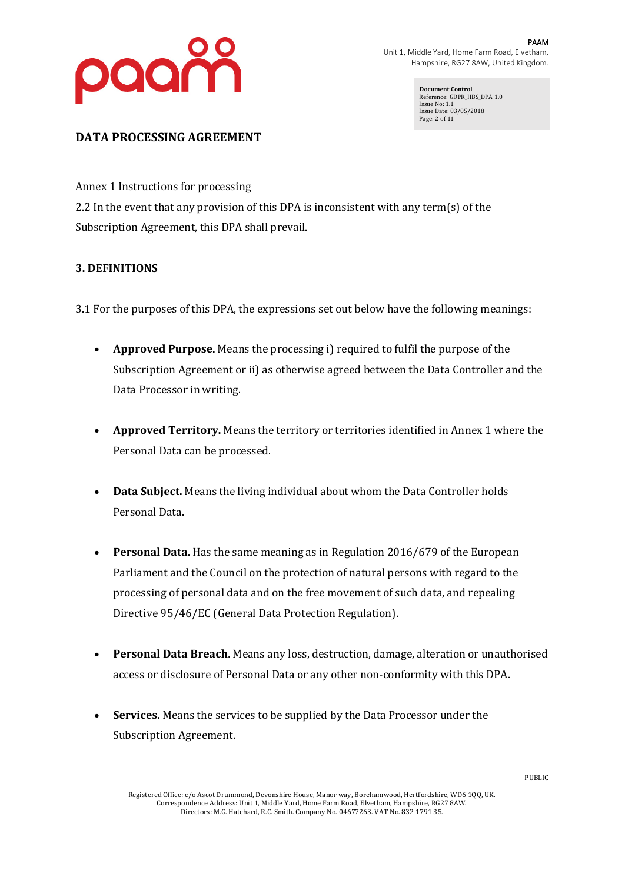

**Document Control** Reference: GDPR\_HBS\_DPA 1.0 Issue No: 1.1 Issue Date: 03/05/2018 Page: 2 of 11

# DATA PROCESSING AGREEMENT

Annex 1 Instructions for processing

2.2 In the event that any provision of this DPA is inconsistent with any term(s) of the Subscription Agreement, this DPA shall prevail.

# **3. DEFINITIONS**

3.1 For the purposes of this DPA, the expressions set out below have the following meanings:

- **Approved Purpose.** Means the processing i) required to fulfil the purpose of the Subscription Agreement or ii) as otherwise agreed between the Data Controller and the Data Processor in writing.
- Approved Territory. Means the territory or territories identified in Annex 1 where the Personal Data can be processed.
- Data Subject. Means the living individual about whom the Data Controller holds Personal Data.
- **Personal Data.** Has the same meaning as in Regulation 2016/679 of the European Parliament and the Council on the protection of natural persons with regard to the processing of personal data and on the free movement of such data, and repealing Directive 95/46/EC (General Data Protection Regulation).
- Personal Data Breach. Means any loss, destruction, damage, alteration or unauthorised access or disclosure of Personal Data or any other non-conformity with this DPA.
- **Services.** Means the services to be supplied by the Data Processor under the Subscription Agreement.

Registered Office: c/o Ascot Drummond, Devonshire House, Manor way, Borehamwood, Hertfordshire, WD6 1QQ, UK. Correspondence Address: Unit 1, Middle Yard, Home Farm Road, Elvetham, Hampshire, RG27 8AW. Directors: M.G. Hatchard, R.C. Smith. Company No. 04677263. VAT No. 832 1791 35.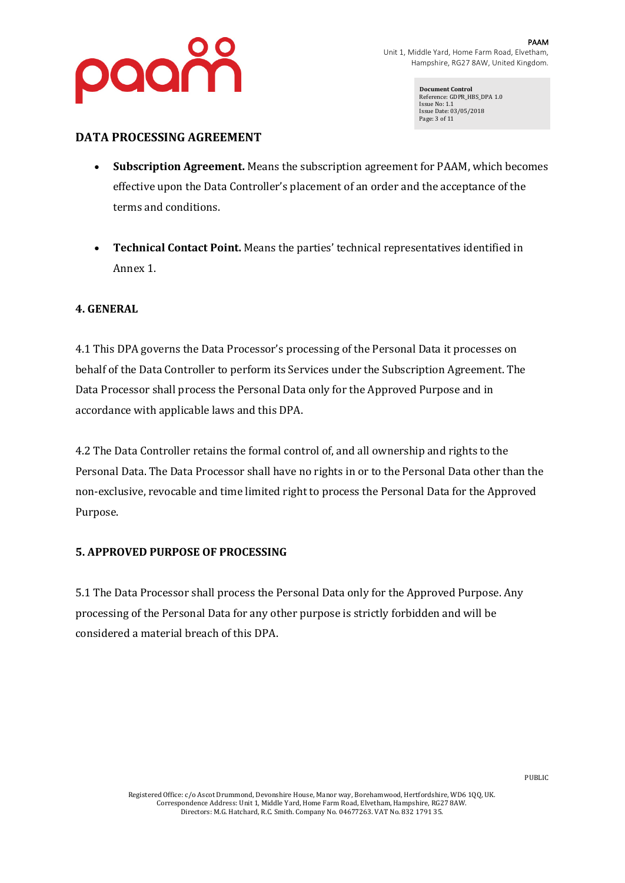

**Document Control** Reference: GDPR\_HBS\_DPA 1.0 Issue No: 1.1 Issue Date: 03/05/2018 Page: 3 of 11

### **DATA PROCESSING AGREEMENT**

- **Subscription Agreement.** Means the subscription agreement for PAAM, which becomes effective upon the Data Controller's placement of an order and the acceptance of the terms and conditions.
- Technical Contact Point. Means the parties' technical representatives identified in Annex 1.

#### **4. GENERAL**

4.1 This DPA governs the Data Processor's processing of the Personal Data it processes on behalf of the Data Controller to perform its Services under the Subscription Agreement. The Data Processor shall process the Personal Data only for the Approved Purpose and in accordance with applicable laws and this DPA.

4.2 The Data Controller retains the formal control of, and all ownership and rights to the Personal Data. The Data Processor shall have no rights in or to the Personal Data other than the non-exclusive, revocable and time limited right to process the Personal Data for the Approved Purpose.

#### **5. APPROVED PURPOSE OF PROCESSING**

5.1 The Data Processor shall process the Personal Data only for the Approved Purpose. Any processing of the Personal Data for any other purpose is strictly forbidden and will be considered a material breach of this DPA.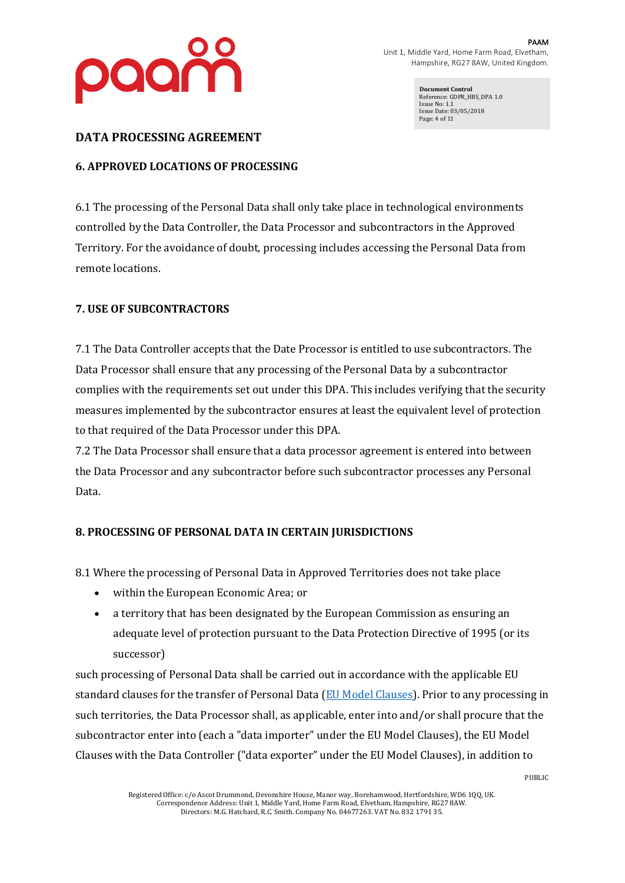

**Document Control** Reference: GDPR\_HBS\_DPA 1.0 Issue No: 1.1 Issue Date: 03/05/2018 Page: 4 of 11

### DATA PROCESSING AGREEMENT

# **6. APPROVED LOCATIONS OF PROCESSING**

6.1 The processing of the Personal Data shall only take place in technological environments controlled by the Data Controller, the Data Processor and subcontractors in the Approved Territory. For the avoidance of doubt, processing includes accessing the Personal Data from remote locations.

# **7. USE OF SUBCONTRACTORS**

7.1 The Data Controller accepts that the Date Processor is entitled to use subcontractors. The Data Processor shall ensure that any processing of the Personal Data by a subcontractor complies with the requirements set out under this DPA. This includes verifying that the security measures implemented by the subcontractor ensures at least the equivalent level of protection to that required of the Data Processor under this DPA.

7.2 The Data Processor shall ensure that a data processor agreement is entered into between the Data Processor and any subcontractor before such subcontractor processes any Personal Data.

# **8. PROCESSING OF PERSONAL DATA IN CERTAIN JURISDICTIONS**

8.1 Where the processing of Personal Data in Approved Territories does not take place

- within the European Economic Area; or
- a territory that has been designated by the European Commission as ensuring an adequate level of protection pursuant to the Data Protection Directive of 1995 (or its successor)

such processing of Personal Data shall be carried out in accordance with the applicable EU standard clauses for the transfer of Personal Data  $(EU$  Model Clauses). Prior to any processing in such territories, the Data Processor shall, as applicable, enter into and/or shall procure that the subcontractor enter into (each a "data importer" under the EU Model Clauses), the EU Model Clauses with the Data Controller ("data exporter" under the EU Model Clauses), in addition to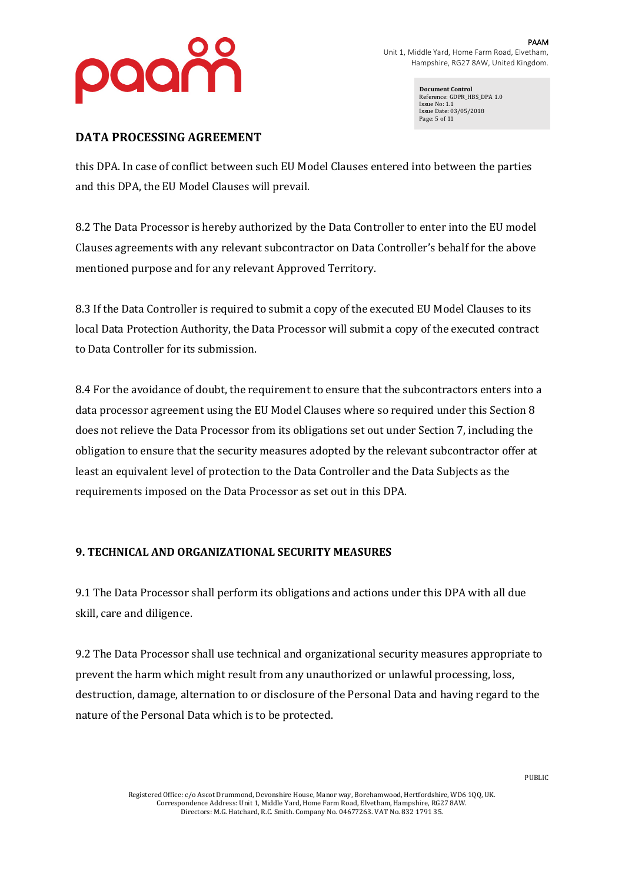

**Document Control** Reference: GDPR\_HBS\_DPA 1.0 Issue No: 1.1 Issue Date: 03/05/2018 Page: 5 of 11

# DATA PROCESSING AGREEMENT

this DPA. In case of conflict between such EU Model Clauses entered into between the parties and this DPA, the EU Model Clauses will prevail.

8.2 The Data Processor is hereby authorized by the Data Controller to enter into the EU model Clauses agreements with any relevant subcontractor on Data Controller's behalf for the above mentioned purpose and for any relevant Approved Territory.

8.3 If the Data Controller is required to submit a copy of the executed EU Model Clauses to its local Data Protection Authority, the Data Processor will submit a copy of the executed contract to Data Controller for its submission.

8.4 For the avoidance of doubt, the requirement to ensure that the subcontractors enters into a data processor agreement using the EU Model Clauses where so required under this Section 8 does not relieve the Data Processor from its obligations set out under Section 7, including the obligation to ensure that the security measures adopted by the relevant subcontractor offer at least an equivalent level of protection to the Data Controller and the Data Subjects as the requirements imposed on the Data Processor as set out in this DPA.

# **9. TECHNICAL AND ORGANIZATIONAL SECURITY MEASURES**

9.1 The Data Processor shall perform its obligations and actions under this DPA with all due skill, care and diligence.

9.2 The Data Processor shall use technical and organizational security measures appropriate to prevent the harm which might result from any unauthorized or unlawful processing, loss, destruction, damage, alternation to or disclosure of the Personal Data and having regard to the nature of the Personal Data which is to be protected.

Registered Office: c/o Ascot Drummond, Devonshire House, Manor way, Borehamwood, Hertfordshire, WD6 1QQ, UK. Correspondence Address: Unit 1, Middle Yard, Home Farm Road, Elvetham, Hampshire, RG27 8AW. Directors: M.G. Hatchard, R.C. Smith. Company No. 04677263. VAT No. 832 1791 35.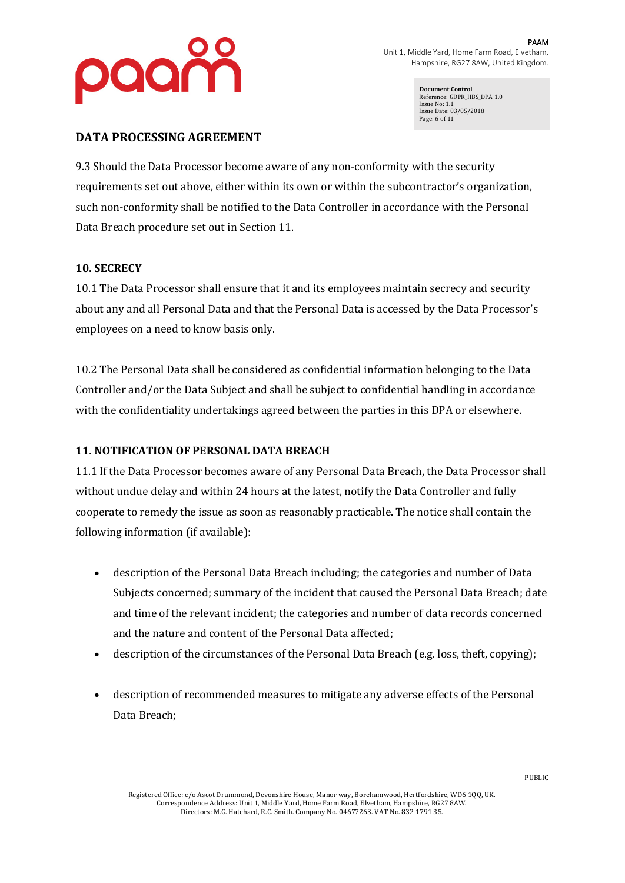

**Document Control** Reference: GDPR\_HBS\_DPA 1.0 Issue No: 1.1 Issue Date: 03/05/2018 Page: 6 of 11

### DATA PROCESSING AGREEMENT

9.3 Should the Data Processor become aware of any non-conformity with the security requirements set out above, either within its own or within the subcontractor's organization, such non-conformity shall be notified to the Data Controller in accordance with the Personal Data Breach procedure set out in Section 11.

#### **10. SECRECY**

10.1 The Data Processor shall ensure that it and its employees maintain secrecy and security about any and all Personal Data and that the Personal Data is accessed by the Data Processor's employees on a need to know basis only.

10.2 The Personal Data shall be considered as confidential information belonging to the Data Controller and/or the Data Subject and shall be subject to confidential handling in accordance with the confidentiality undertakings agreed between the parties in this DPA or elsewhere.

#### **11. NOTIFICATION OF PERSONAL DATA BREACH**

11.1 If the Data Processor becomes aware of any Personal Data Breach, the Data Processor shall without undue delay and within 24 hours at the latest, notify the Data Controller and fully cooperate to remedy the issue as soon as reasonably practicable. The notice shall contain the following information  $(i$ f available):

- description of the Personal Data Breach including; the categories and number of Data Subjects concerned; summary of the incident that caused the Personal Data Breach; date and time of the relevant incident; the categories and number of data records concerned and the nature and content of the Personal Data affected:
- description of the circumstances of the Personal Data Breach (e.g. loss, theft, copying);
- description of recommended measures to mitigate any adverse effects of the Personal Data Breach;

Registered Office: c/o Ascot Drummond, Devonshire House, Manor way, Borehamwood, Hertfordshire, WD6 1QQ, UK. Correspondence Address: Unit 1, Middle Yard, Home Farm Road, Elvetham, Hampshire, RG27 8AW. Directors: M.G. Hatchard, R.C. Smith. Company No. 04677263. VAT No. 832 1791 35.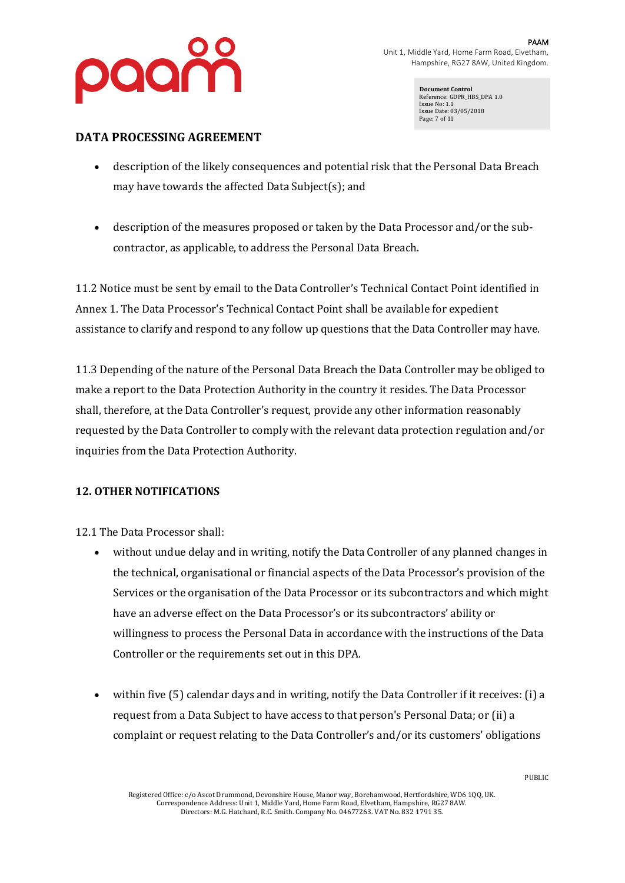

**Document Control** Reference: GDPR\_HBS\_DPA 1.0 Issue No: 1.1 Issue Date: 03/05/2018 Page: 7 of 11

# DATA PROCESSING AGREEMENT

- description of the likely consequences and potential risk that the Personal Data Breach may have towards the affected Data Subject(s); and
- description of the measures proposed or taken by the Data Processor and/or the subcontractor, as applicable, to address the Personal Data Breach.

11.2 Notice must be sent by email to the Data Controller's Technical Contact Point identified in Annex 1. The Data Processor's Technical Contact Point shall be available for expedient assistance to clarify and respond to any follow up questions that the Data Controller may have.

11.3 Depending of the nature of the Personal Data Breach the Data Controller may be obliged to make a report to the Data Protection Authority in the country it resides. The Data Processor shall, therefore, at the Data Controller's request, provide any other information reasonably requested by the Data Controller to comply with the relevant data protection regulation and/or inquiries from the Data Protection Authority.

#### **12. OTHER NOTIFICATIONS**

12.1 The Data Processor shall:

- without undue delay and in writing, notify the Data Controller of any planned changes in the technical, organisational or financial aspects of the Data Processor's provision of the Services or the organisation of the Data Processor or its subcontractors and which might have an adverse effect on the Data Processor's or its subcontractors' ability or willingness to process the Personal Data in accordance with the instructions of the Data Controller or the requirements set out in this DPA.
- within five  $(5)$  calendar days and in writing, notify the Data Controller if it receives:  $(i)$  a request from a Data Subject to have access to that person's Personal Data; or (ii) a complaint or request relating to the Data Controller's and/or its customers' obligations

Registered Office: c/o Ascot Drummond, Devonshire House, Manor way, Borehamwood, Hertfordshire, WD6 1QQ, UK. Correspondence Address: Unit 1, Middle Yard, Home Farm Road, Elvetham, Hampshire, RG27 8AW. Directors: M.G. Hatchard, R.C. Smith. Company No. 04677263. VAT No. 832 1791 35.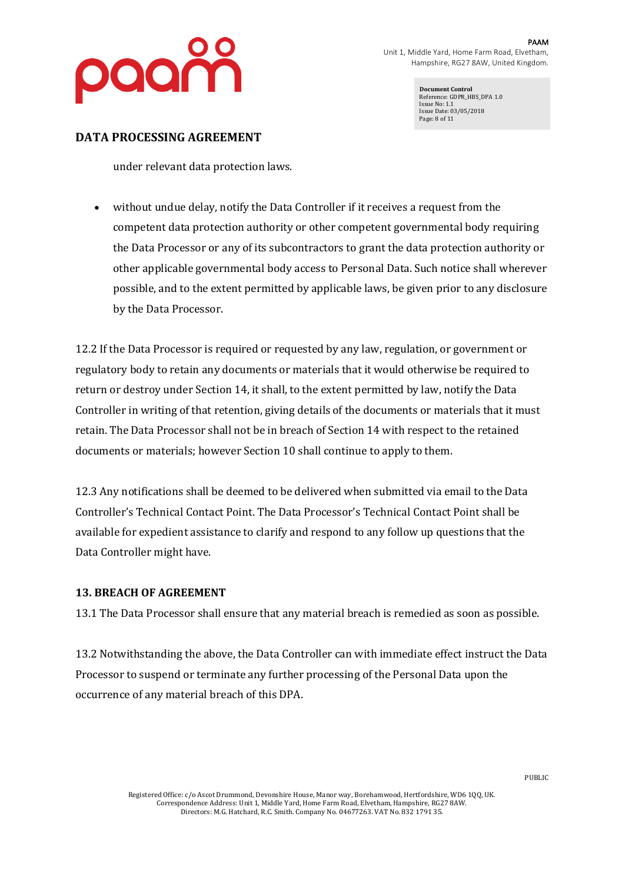

**Document Control** Reference: GDPR\_HBS\_DPA 1.0 Issue No: 1.1 Issue Date: 03/05/2018 Page: 8 of 11

### DATA PROCESSING AGREEMENT

under relevant data protection laws.

• without undue delay, notify the Data Controller if it receives a request from the competent data protection authority or other competent governmental body requiring the Data Processor or any of its subcontractors to grant the data protection authority or other applicable governmental body access to Personal Data. Such notice shall wherever possible, and to the extent permitted by applicable laws, be given prior to any disclosure by the Data Processor.

12.2 If the Data Processor is required or requested by any law, regulation, or government or regulatory body to retain any documents or materials that it would otherwise be required to return or destroy under Section 14, it shall, to the extent permitted by law, notify the Data Controller in writing of that retention, giving details of the documents or materials that it must retain. The Data Processor shall not be in breach of Section 14 with respect to the retained documents or materials; however Section 10 shall continue to apply to them.

12.3 Any notifications shall be deemed to be delivered when submitted via email to the Data Controller's Technical Contact Point. The Data Processor's Technical Contact Point shall be available for expedient assistance to clarify and respond to any follow up questions that the Data Controller might have.

#### **13. BREACH OF AGREEMENT**

13.1 The Data Processor shall ensure that any material breach is remedied as soon as possible.

13.2 Notwithstanding the above, the Data Controller can with immediate effect instruct the Data Processor to suspend or terminate any further processing of the Personal Data upon the occurrence of any material breach of this DPA.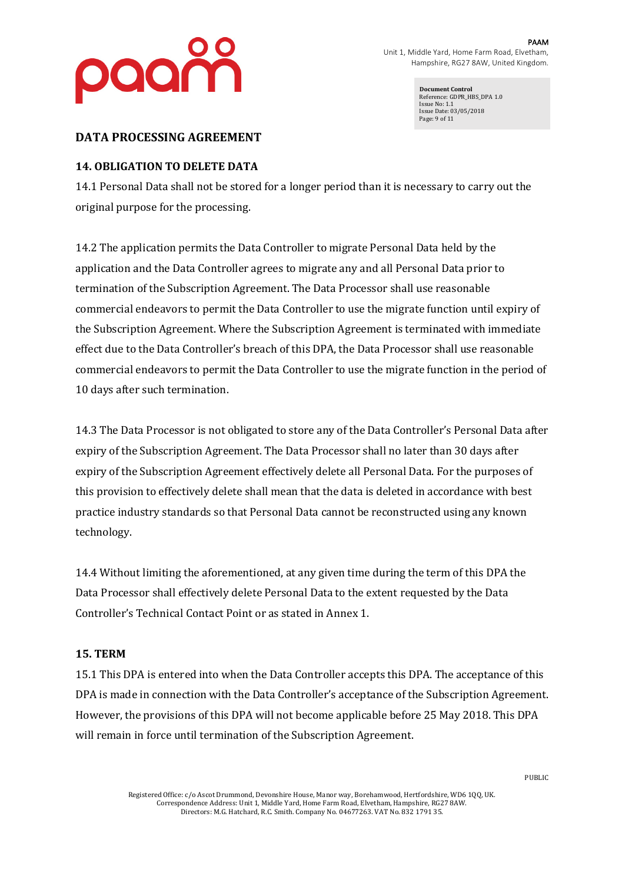

**Document Control** Reference: GDPR\_HBS\_DPA 1.0 Issue No: 1.1 Issue Date: 03/05/2018 Page: 9 of 11

### DATA PROCESSING AGREEMENT

# **14. OBLIGATION TO DELETE DATA**

14.1 Personal Data shall not be stored for a longer period than it is necessary to carry out the original purpose for the processing.

14.2 The application permits the Data Controller to migrate Personal Data held by the application and the Data Controller agrees to migrate any and all Personal Data prior to termination of the Subscription Agreement. The Data Processor shall use reasonable commercial endeavors to permit the Data Controller to use the migrate function until expiry of the Subscription Agreement. Where the Subscription Agreement is terminated with immediate effect due to the Data Controller's breach of this DPA, the Data Processor shall use reasonable commercial endeavors to permit the Data Controller to use the migrate function in the period of 10 days after such termination.

14.3 The Data Processor is not obligated to store any of the Data Controller's Personal Data after expiry of the Subscription Agreement. The Data Processor shall no later than 30 days after expiry of the Subscription Agreement effectively delete all Personal Data. For the purposes of this provision to effectively delete shall mean that the data is deleted in accordance with best practice industry standards so that Personal Data cannot be reconstructed using any known technology.

14.4 Without limiting the aforementioned, at any given time during the term of this DPA the Data Processor shall effectively delete Personal Data to the extent requested by the Data Controller's Technical Contact Point or as stated in Annex 1.

#### **15. TERM**

15.1 This DPA is entered into when the Data Controller accepts this DPA. The acceptance of this DPA is made in connection with the Data Controller's acceptance of the Subscription Agreement. However, the provisions of this DPA will not become applicable before 25 May 2018. This DPA will remain in force until termination of the Subscription Agreement.

Registered Office: c/o Ascot Drummond, Devonshire House, Manor way, Borehamwood, Hertfordshire, WD6 1QQ, UK. Correspondence Address: Unit 1, Middle Yard, Home Farm Road, Elvetham, Hampshire, RG27 8AW. Directors: M.G. Hatchard, R.C. Smith. Company No. 04677263. VAT No. 832 1791 35.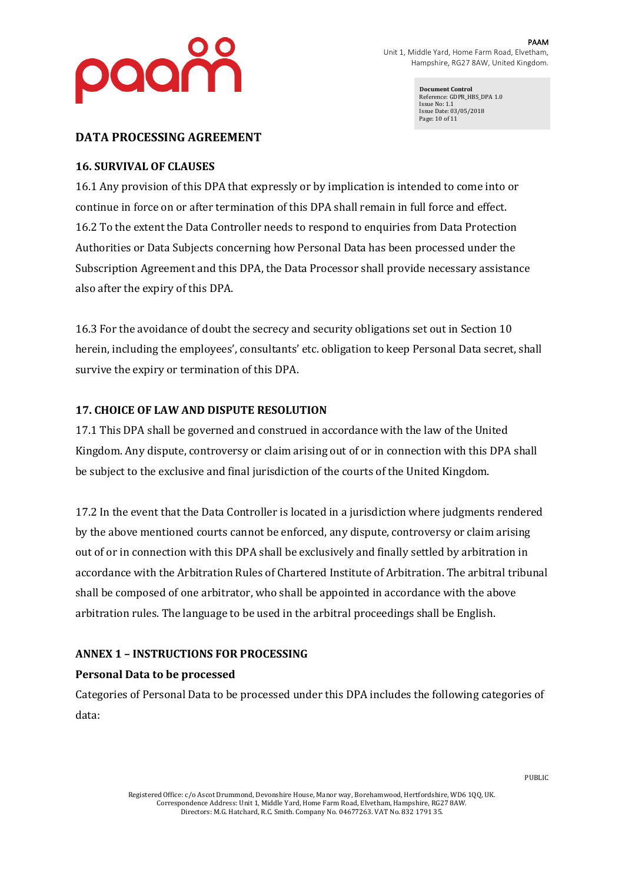

**Document Control** Reference: GDPR\_HBS\_DPA 1.0 Issue No: 1.1 Issue Date: 03/05/2018 Page: 10 of 11

#### **DATA PROCESSING AGREEMENT**

# **16. SURVIVAL OF CLAUSES**

16.1 Any provision of this DPA that expressly or by implication is intended to come into or continue in force on or after termination of this DPA shall remain in full force and effect. 16.2 To the extent the Data Controller needs to respond to enquiries from Data Protection Authorities or Data Subjects concerning how Personal Data has been processed under the Subscription Agreement and this DPA, the Data Processor shall provide necessary assistance also after the expiry of this DPA.

16.3 For the avoidance of doubt the secrecy and security obligations set out in Section 10 herein, including the employees', consultants' etc. obligation to keep Personal Data secret, shall survive the expiry or termination of this DPA.

#### **17. CHOICE OF LAW AND DISPUTE RESOLUTION**

17.1 This DPA shall be governed and construed in accordance with the law of the United Kingdom. Any dispute, controversy or claim arising out of or in connection with this DPA shall be subject to the exclusive and final jurisdiction of the courts of the United Kingdom.

17.2 In the event that the Data Controller is located in a jurisdiction where judgments rendered by the above mentioned courts cannot be enforced, any dispute, controversy or claim arising out of or in connection with this DPA shall be exclusively and finally settled by arbitration in accordance with the Arbitration Rules of Chartered Institute of Arbitration. The arbitral tribunal shall be composed of one arbitrator, who shall be appointed in accordance with the above arbitration rules. The language to be used in the arbitral proceedings shall be English.

# **ANNEX 1 – INSTRUCTIONS FOR PROCESSING**

# **Personal Data to be processed**

Categories of Personal Data to be processed under this DPA includes the following categories of data: